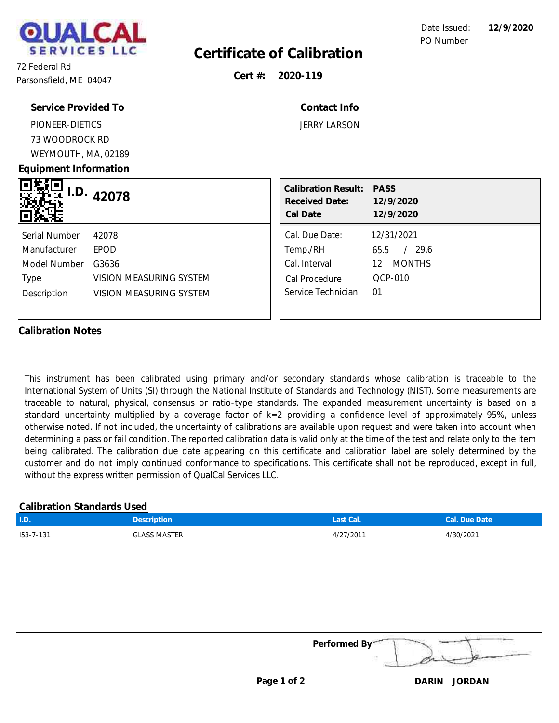

## **Certificate of Calibration**

72 Federal Rd Parsonsfield, ME 04047

**Cert #: 2020-119**

| Service Provided To                                                                                                                                         | Contact Info                                                                                                                                    |
|-------------------------------------------------------------------------------------------------------------------------------------------------------------|-------------------------------------------------------------------------------------------------------------------------------------------------|
| PIONEER-DIETICS                                                                                                                                             | <b>JERRY LARSON</b>                                                                                                                             |
| 73 WOODROCK RD                                                                                                                                              |                                                                                                                                                 |
| WEYMOUTH, MA, 02189                                                                                                                                         |                                                                                                                                                 |
| Equipment Information                                                                                                                                       |                                                                                                                                                 |
| I.D.<br>42078                                                                                                                                               | <b>Calibration Result:</b><br><b>PASS</b><br>Received Date: 12/9/2020<br>Cal Date<br>12/9/2020                                                  |
| Serial Number<br>42078<br><b>EPOD</b><br>Manufacturer<br>Model Number<br>G3636<br>VISION MEASURING SYSTEM<br>Type<br>Description<br>VISION MEASURING SYSTEM | Cal. Due Date:<br>12/31/2021<br>/29.6<br>Temp./RH<br>65.5<br>Cal. Interval<br>12 MONTHS<br>QCP-010<br>Cal Procedure<br>Service Technician<br>01 |

#### **Calibration Notes**

This instrument has been calibrated using primary and/or secondary standards whose calibration is traceable to the International System of Units (SI) through the National Institute of Standards and Technology (NIST). Some measurements are traceable to natural, physical, consensus or ratio-type standards. The expanded measurement uncertainty is based on a standard uncertainty multiplied by a coverage factor of k=2 providing a confidence level of approximately 95%, unless otherwise noted. If not included, the uncertainty of calibrations are available upon request and were taken into account when determining a pass or fail condition. The reported calibration data is valid only at the time of the test and relate only to the item being calibrated. The calibration due date appearing on this certificate and calibration label are solely determined by the customer and do not imply continued conformance to specifications. This certificate shall not be reproduced, except in full, without the express written permission of QualCal Services LLC.

### **Calibration Standards Used**

| LU.             | Description         | Last Cal. | lCal. Due Date' |
|-----------------|---------------------|-----------|-----------------|
| $153 - 7 - 131$ | <b>GLASS MASTER</b> | 4/27/2011 | +/30/2021       |
|                 |                     |           |                 |

**Performed By:**